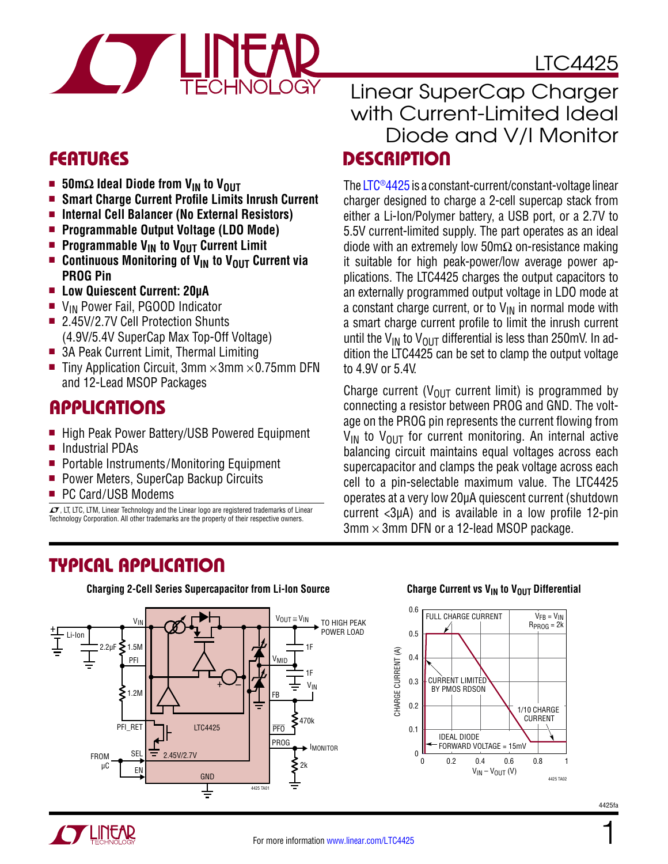

# LTC4425

- 50mΩ Ideal Diode from V<sub>IN</sub> to V<sub>OUT</sub>
- **E** Smart Charge Current Profile Limits Inrush Current
- Internal Cell Balancer (No External Resistors)
- **Programmable Output Voltage (LDO Mode)**
- **n** Programmable V<sub>IN</sub> to V<sub>OUT</sub> Current Limit
- **n** Continuous Monitoring of V<sub>IN</sub> to V<sub>OUT</sub> Current via **PROG Pin**
- **E** Low Quiescent Current: 20μA
- $\blacksquare$  V<sub>IN</sub> Power Fail, PGOOD Indicator
- 2.45V/2.7V Cell Protection Shunts (4.9V/5.4V SuperCap Max Top-Off Voltage)
- 3A Peak Current Limit, Thermal Limiting
- Tiny Application Circuit, 3mm  $\times$ 3mm  $\times$ 0.75mm DFN and 12-Lead MSOP Packages

### Applications

- High Peak Power Battery/USB Powered Equipment
- Industrial PDAs
- Portable Instruments/Monitoring Equipment
- **Power Meters, SuperCap Backup Circuits**
- PC Card/USB Modems

 $\overline{LT}$ , LT, LTC, LTM, Linear Technology and the Linear logo are registered trademarks of Linear Technology Corporation. All other trademarks are the property of their respective owners.

### FEATURES DESCRIPTION Linear SuperCap Charger with Current-Limited Ideal Diode and V/I Monitor

The [LTC®4425](http://www.linear.com/LTC4425) is a constant-current/constant-voltage linear charger designed to charge a 2-cell supercap stack from either a Li-Ion/Polymer battery, a USB port, or a 2.7V to 5.5V current-limited supply. The part operates as an ideal diode with an extremely low 50m $\Omega$  on-resistance making it suitable for high peak-power/low average power applications. The LTC4425 charges the output capacitors to an externally programmed output voltage in LDO mode at a constant charge current, or to  $V_{IN}$  in normal mode with a smart charge current profile to limit the inrush current until the V<sub>IN</sub> to V<sub>OUT</sub> differential is less than 250mV. In addition the LTC4425 can be set to clamp the output voltage to 4.9V or 5.4V.

Charge current ( $V_{OUT}$  current limit) is programmed by connecting a resistor between PROG and GND. The voltage on the PROG pin represents the current flowing from  $V_{IN}$  to  $V_{OIII}$  for current monitoring. An internal active balancing circuit maintains equal voltages across each supercapacitor and clamps the peak voltage across each cell to a pin-selectable maximum value. The LTC4425 operates at a very low 20µA quiescent current (shutdown current <3µA) and is available in a low profile 12-pin  $3$ mm  $\times$  3mm DFN or a 12-lead MSOP package.

### Typical Application



**Charging 2-Cell Series Supercapacitor from Li-Ion Source**

#### **Charge Current vs V<sub>IN</sub> to V<sub>OUT</sub> Differential**

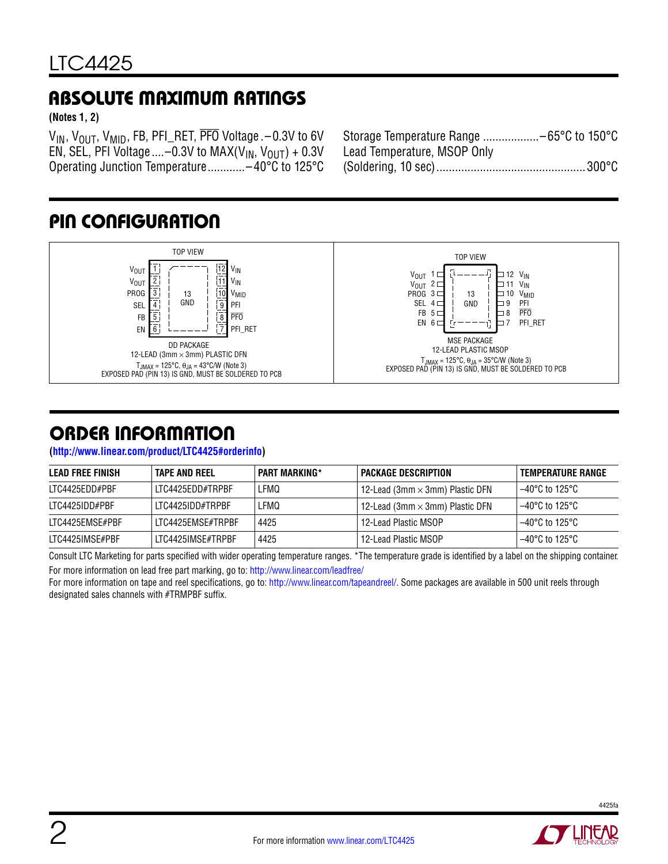### Absolute Maximum Ratings

**(Notes 1, 2)**

 $V_{IN}$ ,  $V_{OUT}$ ,  $V_{MID}$ , FB, PFI\_RET,  $\overline{PFO}$  Voltage . -0.3V to 6V EN, SEL, PFI Voltage  $\ldots$  –0.3V to MAX(V<sub>IN</sub>, V<sub>OUT</sub>) + 0.3V Operating Junction Temperature............–40°C to 125°C

| Storage Temperature Range -65°C to 150°C |  |
|------------------------------------------|--|
| Lead Temperature, MSOP Only              |  |
|                                          |  |

### Pin Configuration



### Order Information

**(<http://www.linear.com/product/LTC4425#orderinfo>)**

| LEAD FREE FINISH | TAPE AND REEL     | <b>PART MARKING*</b> | I PACKAGE DESCRIPTION                       | TEMPERATURE RANGE |
|------------------|-------------------|----------------------|---------------------------------------------|-------------------|
| LTC4425EDD#PBF   | LTC4425EDD#TRPBF  | LFMQ                 | 12-Lead (3mm $\times$ 3mm) Plastic DFN $\,$ | l –40°C to 125°C  |
| LTC4425IDD#PBF   | LTC4425IDD#TRPBF  | LFMQ                 | 12-Lead (3mm × 3mm) Plastic DFN             | l –40°C to 125°C  |
| LTC4425EMSE#PBF  | LTC4425EMSE#TRPBF | 4425                 | 12-Lead Plastic MSOP                        | l –40°C to 125°C  |
| LTC4425IMSE#PBF  | LTC4425IMSE#TRPBF | 4425                 | 12-Lead Plastic MSOP                        | 1–40°C to 125°C   |

Consult LTC Marketing for parts specified with wider operating temperature ranges. \*The temperature grade is identified by a label on the shipping container. For more information on lead free part marking, go to: http://www.linear.com/leadfree/

For more information on tape and reel specifications, go to: http://www.linear.com/tapeandreel/. Some packages are available in 500 unit reels through designated sales channels with #TRMPBF suffix.

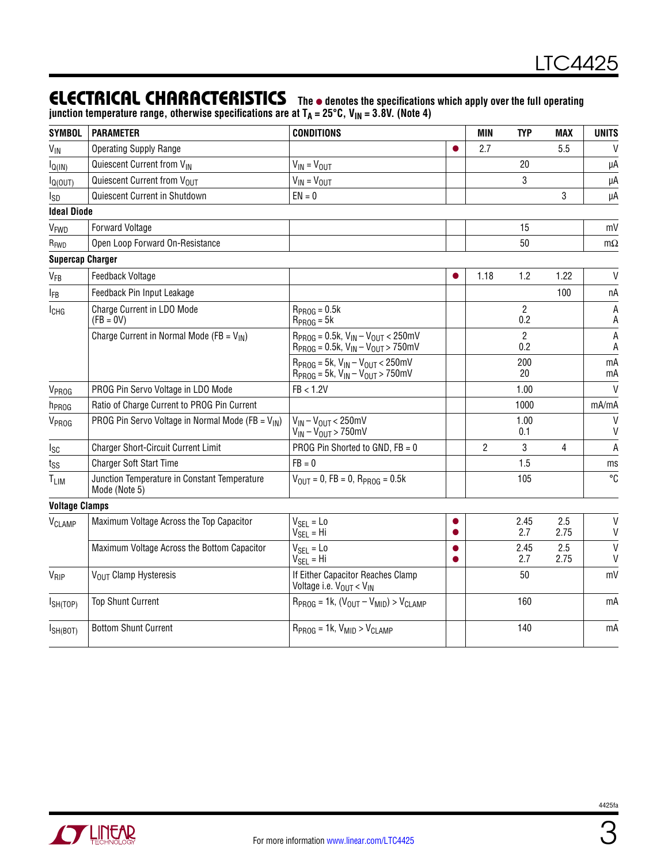### **ELECTRICAL CHARACTERISTICS** The  $\bullet$  denotes the specifications which apply over the full operating

junction temperature range, otherwise specifications are at T<sub>A</sub> = 25°C, V<sub>IN</sub> = 3.8V. (Note 4)

| <b>SYMBOL</b>           | <b>PARAMETER</b>                                              | <b>CONDITIONS</b>                                                                                |   | MIN            | <b>TYP</b>            | <b>MAX</b>  | <b>UNITS</b>                 |
|-------------------------|---------------------------------------------------------------|--------------------------------------------------------------------------------------------------|---|----------------|-----------------------|-------------|------------------------------|
| $V_{\text{IN}}$         | <b>Operating Supply Range</b>                                 |                                                                                                  |   | 2.7            |                       | 5.5         | $\mathsf{V}$                 |
| $I_{Q(IN)}$             | Quiescent Current from VIN                                    | $V_{IN} = V_{OUT}$                                                                               |   |                | 20                    |             | μA                           |
| $I_{Q(OUT)}$            | Quiescent Current from VOUT                                   | $V_{IN} = V_{OUT}$                                                                               |   |                | 3                     |             | μA                           |
| I <sub>SD</sub>         | Quiescent Current in Shutdown                                 | $EN = 0$                                                                                         |   |                |                       | 3           | μA                           |
| <b>Ideal Diode</b>      |                                                               |                                                                                                  |   |                |                       |             |                              |
| V <sub>FWD</sub>        | <b>Forward Voltage</b>                                        |                                                                                                  |   |                | 15                    |             | mV                           |
| R <sub>FWD</sub>        | Open Loop Forward On-Resistance                               |                                                                                                  |   |                | 50                    |             | $m\Omega$                    |
| <b>Supercap Charger</b> |                                                               |                                                                                                  |   |                |                       |             |                              |
| <b>V<sub>FB</sub></b>   | Feedback Voltage                                              |                                                                                                  |   | 1.18           | 1.2                   | 1.22        | $\mathsf{V}$                 |
| <b>IFB</b>              | Feedback Pin Input Leakage                                    |                                                                                                  |   |                |                       | 100         | пA                           |
| ICHG                    | Charge Current in LDO Mode<br>$(FB = 0V)$                     | $RPROG = 0.5k$<br>$R_{PROG} = 5k$                                                                |   |                | $\overline{2}$<br>0.2 |             | А<br>A                       |
|                         | Charge Current in Normal Mode (FB = $V_{IN}$ )                | $R_{PROG} = 0.5k$ , $V_{IN} - V_{OUT} < 250mV$<br>$R_{PROG} = 0.5k$ , $V_{IN} - V_{OUT} > 750mV$ |   |                | $\overline{2}$<br>0.2 |             | A<br>A                       |
|                         |                                                               | $R_{PROG} = 5k$ , $V_{IN} - V_{OUIT} < 250$ mV<br>$R_{PROG} = 5k$ , $V_{IN} - V_{OUT} > 750mV$   |   |                | 200<br>20             |             | mA<br>mA                     |
| V <sub>PROG</sub>       | PROG Pin Servo Voltage in LDO Mode                            | FB < 1.2V                                                                                        |   |                | 1.00                  |             | V                            |
| h <sub>PROG</sub>       | Ratio of Charge Current to PROG Pin Current                   |                                                                                                  |   |                | 1000                  |             | mA/mA                        |
| V <sub>PROG</sub>       | PROG Pin Servo Voltage in Normal Mode (FB = $V_{IN}$ )        | $V_{IN} - V_{OUT} < 250$ mV<br>$V_{\text{IN}} - V_{\text{OUT}} > 750$ mV                         |   |                | 1.00<br>0.1           |             | $\mathsf{V}$<br>V            |
| Isc                     | <b>Charger Short-Circuit Current Limit</b>                    | PROG Pin Shorted to GND, FB = 0                                                                  |   | $\overline{2}$ | 3                     | 4           | $\overline{A}$               |
| $t_{SS}$                | <b>Charger Soft Start Time</b>                                | $FB = 0$                                                                                         |   |                | 1.5                   |             | ms                           |
| T <sub>LIM</sub>        | Junction Temperature in Constant Temperature<br>Mode (Note 5) | $V_{OIII} = 0$ , FB = 0, R <sub>PROG</sub> = 0.5k                                                |   |                | 105                   |             | °C                           |
| <b>Voltage Clamps</b>   |                                                               |                                                                                                  |   |                |                       |             |                              |
| VCLAMP                  | Maximum Voltage Across the Top Capacitor                      | $V_{SEL} = Lo$<br>$V_{SEL} = Hi$                                                                 |   |                | 2.45<br>2.7           | 2.5<br>2.75 | V<br>$\mathsf{V}$            |
|                         | Maximum Voltage Across the Bottom Capacitor                   | $V_{\text{SEL}} = L_0$<br>$V_{SEL} = Hi$                                                         | ● |                | 2.45<br>2.7           | 2.5<br>2.75 | $\mathsf{V}$<br>$\mathsf{V}$ |
| $V_{\mathsf{RIP}}$      | V <sub>OUT</sub> Clamp Hysteresis                             | If Either Capacitor Reaches Clamp<br>Voltage i.e. V <sub>OUT</sub> < V <sub>IN</sub>             |   |                | 50                    |             | mV                           |
| $I_{SH(TOP)}$           | <b>Top Shunt Current</b>                                      | $R_{PROG} = 1k$ , $(V_{OUT} - V_{MID}) > V_{CLAMP}$                                              |   |                | 160                   |             | mA                           |
| I <sub>SH(BOT)</sub>    | <b>Bottom Shunt Current</b>                                   | $R_{PROG} = 1k$ , $V_{MID} > V_{CLAMP}$                                                          |   |                | 140                   |             | mA                           |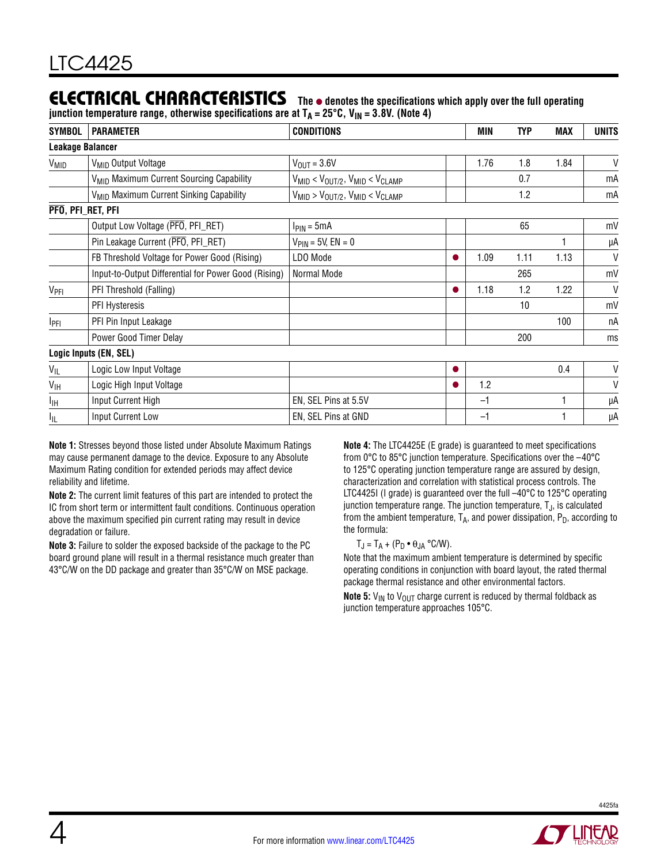### **ELECTRICAL CHARACTERISTICS** The  $\bullet$  denotes the specifications which apply over the full operating

junction temperature range, otherwise specifications are at T<sub>A</sub> = 25°C, V<sub>IN</sub> = 3.8V. (Note 4)

| <b>SYMBOL</b>           | <b>PARAMETER</b>                                     | <b>CONDITIONS</b>                                 |  | MIN  | <b>TYP</b> | MAX  | <b>UNITS</b> |  |
|-------------------------|------------------------------------------------------|---------------------------------------------------|--|------|------------|------|--------------|--|
| <b>Leakage Balancer</b> |                                                      |                                                   |  |      |            |      |              |  |
| V <sub>MID</sub>        | V <sub>MID</sub> Output Voltage                      | $V_{\text{OUT}} = 3.6V$                           |  | 1.76 | 1.8        | 1.84 | $\mathsf{V}$ |  |
|                         | V <sub>MID</sub> Maximum Current Sourcing Capability | $V_{MID} < V_{OUT/2}$ , $V_{MID} < V_{CLAMP}$     |  |      | 0.7        |      | mA           |  |
|                         | V <sub>MID</sub> Maximum Current Sinking Capability  | $V_{MID}$ > $V_{OUT/2}$ , $V_{MID}$ < $V_{CLAMP}$ |  |      | 1.2        |      | mA           |  |
| PFO, PFI_RET, PFI       |                                                      |                                                   |  |      |            |      |              |  |
|                         | Output Low Voltage (PFO, PFI_RET)                    | $I_{\text{PIN}} = 5 \text{mA}$                    |  |      | 65         |      | mV           |  |
|                         | Pin Leakage Current (PFO, PFI_RET)                   | $V_{\text{PIN}} = 5V, EN = 0$                     |  |      |            |      | μA           |  |
|                         | FB Threshold Voltage for Power Good (Rising)         | LDO Mode                                          |  | 1.09 | 1.11       | 1.13 | V            |  |
|                         | Input-to-Output Differential for Power Good (Rising) | Normal Mode                                       |  |      | 265        |      | mV           |  |
| V <sub>PFI</sub>        | PFI Threshold (Falling)                              |                                                   |  | 1.18 | 1.2        | 1.22 | V            |  |
|                         | PFI Hysteresis                                       |                                                   |  |      | 10         |      | mV           |  |
| IPFI                    | PFI Pin Input Leakage                                |                                                   |  |      |            | 100  | пA           |  |
|                         | Power Good Timer Delay                               |                                                   |  |      | 200        |      | ms           |  |
|                         | Logic Inputs (EN, SEL)                               |                                                   |  |      |            |      |              |  |
| $V_{IL}$                | Logic Low Input Voltage                              |                                                   |  |      |            | 0.4  | V            |  |
| $V_{\text{IH}}$         | Logic High Input Voltage                             |                                                   |  | 1.2  |            |      | V            |  |
| IІH                     | Input Current High                                   | EN, SEL Pins at 5.5V                              |  | $-1$ |            |      | μA           |  |
| ЧL                      | Input Current Low                                    | EN, SEL Pins at GND                               |  | $-1$ |            |      | μA           |  |

**Note 1:** Stresses beyond those listed under Absolute Maximum Ratings may cause permanent damage to the device. Exposure to any Absolute Maximum Rating condition for extended periods may affect device reliability and lifetime.

**Note 2:** The current limit features of this part are intended to protect the IC from short term or intermittent fault conditions. Continuous operation above the maximum specified pin current rating may result in device degradation or failure.

**Note 3:** Failure to solder the exposed backside of the package to the PC board ground plane will result in a thermal resistance much greater than 43°C/W on the DD package and greater than 35°C/W on MSE package.

**Note 4:** The LTC4425E (E grade) is guaranteed to meet specifications from 0°C to 85°C junction temperature. Specifications over the –40°C to 125°C operating junction temperature range are assured by design, characterization and correlation with statistical process controls. The LTC4425I (I grade) is guaranteed over the full -40°C to 125°C operating junction temperature range. The junction temperature,  $T_J$ , is calculated from the ambient temperature,  $T_A$ , and power dissipation,  $P_D$ , according to the formula:

#### $T_J = T_A + (P_D \cdot \theta_{JA} \cdot C/W).$

Note that the maximum ambient temperature is determined by specific operating conditions in conjunction with board layout, the rated thermal package thermal resistance and other environmental factors.

**Note 5:**  $V_{IN}$  to  $V_{OUT}$  charge current is reduced by thermal foldback as junction temperature approaches 105°C.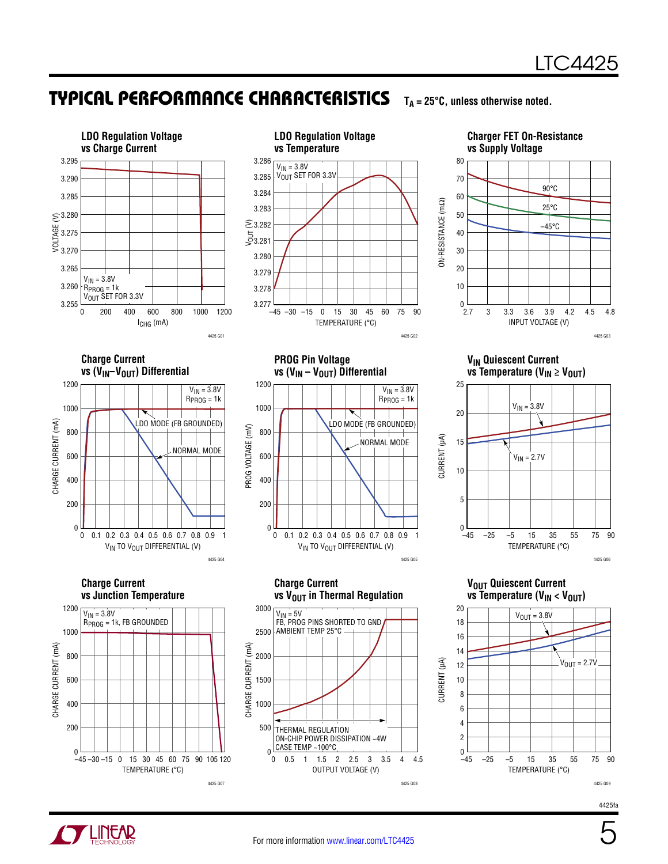### Typical Performance Characteristics

 $T_A = 25^\circ \text{C}$ , unless otherwise noted.





**VIN Quiescent Current** 

 $\overline{\text{v}}$ s Temperature (V<sub>IN</sub>  $\geq$  V<sub>OUT</sub>)



**VOUT QUIESCENT CURRENT vs Temperature (V<sub>IN</sub> < V<sub>OUT</sub>)** 



4425fa



 $-45 - 30 - 15 = 0$ 

TEMPERATURE (°C)

–30 –15 0 15 30 45 60 75 90 105 120

4425 G07

 $\overline{0}$ 

OUTPUT VOLTAGE (V)

0.5 1 1.5 2 2.5 3 3.5 4 4.5

4425 G08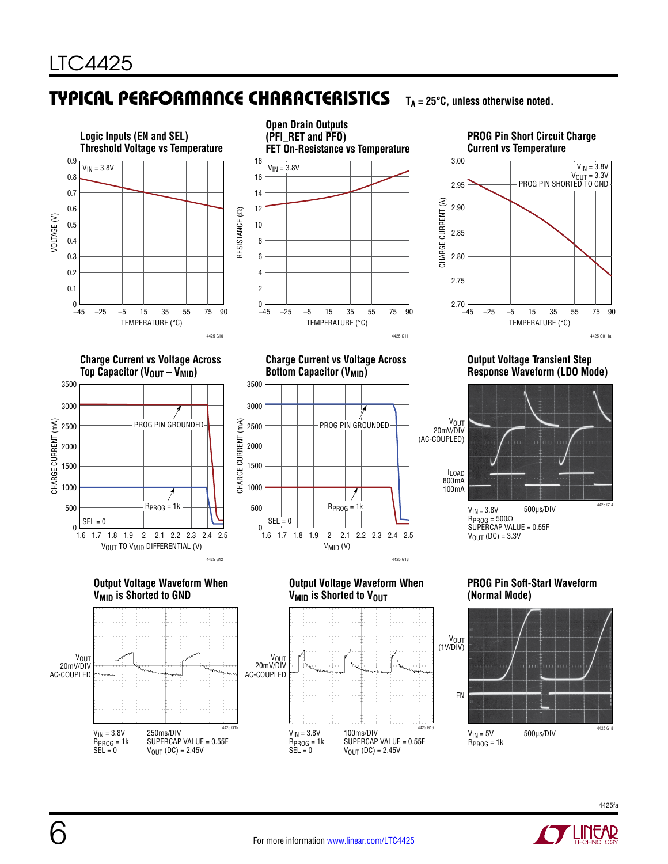# Typical Performance Characteristics

**TA = 25°C, unless otherwise noted.**



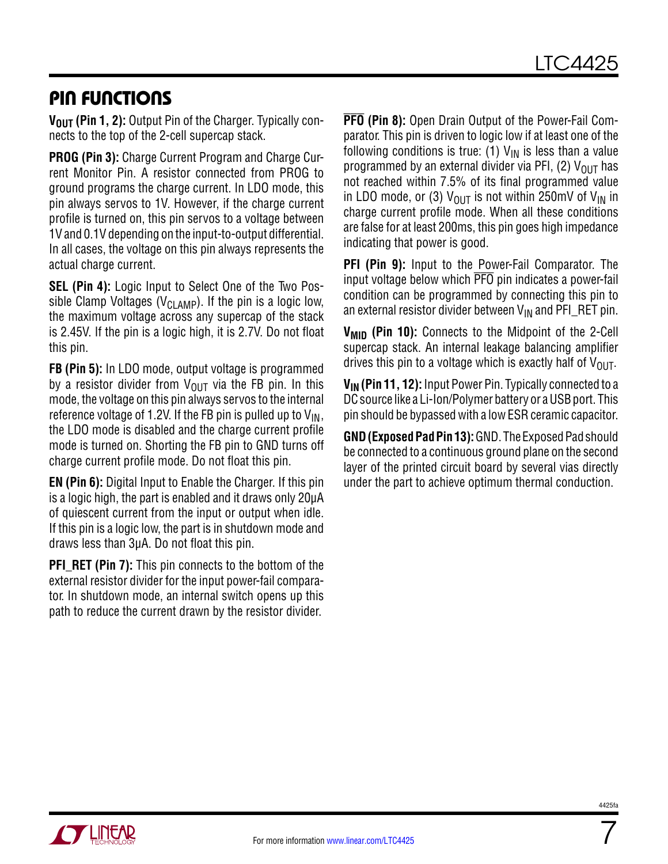### Pin Functions

**V<sub>OUT</sub> (Pin 1, 2):** Output Pin of the Charger. Typically connects to the top of the 2-cell supercap stack.

**PROG (Pin 3):** Charge Current Program and Charge Current Monitor Pin. A resistor connected from PROG to ground programs the charge current. In LDO mode, this pin always servos to 1V. However, if the charge current profile is turned on, this pin servos to a voltage between 1V and 0.1V depending on the input-to-output differential. In all cases, the voltage on this pin always represents the actual charge current.

**SEL (Pin 4):** Logic Input to Select One of the Two Possible Clamp Voltages ( $V_{\text{CI AMP}}$ ). If the pin is a logic low, the maximum voltage across any supercap of the stack is 2.45V. If the pin is a logic high, it is 2.7V. Do not float this pin.

**FB (Pin 5):** In LDO mode, output voltage is programmed by a resistor divider from  $V_{OIIT}$  via the FB pin. In this mode, the voltage on this pin always servos to the internal reference voltage of 1.2V. If the FB pin is pulled up to  $V_{IN}$ , the LDO mode is disabled and the charge current profile mode is turned on. Shorting the FB pin to GND turns off charge current profile mode. Do not float this pin.

**EN (Pin 6):** Digital Input to Enable the Charger. If this pin is a logic high, the part is enabled and it draws only 20μA of quiescent current from the input or output when idle. If this pin is a logic low, the part is in shutdown mode and draws less than 3μA. Do not float this pin.

**PFI\_RET (Pin 7):** This pin connects to the bottom of the external resistor divider for the input power-fail comparator. In shutdown mode, an internal switch opens up this path to reduce the current drawn by the resistor divider.

**PFO (Pin 8):** Open Drain Output of the Power-Fail Comparator. This pin is driven to logic low if at least one of the following conditions is true: (1)  $V_{IN}$  is less than a value programmed by an external divider via PFI, (2)  $V_{OUT}$  has not reached within 7.5% of its final programmed value in LDO mode, or (3)  $V_{OIIT}$  is not within 250mV of  $V_{IN}$  in charge current profile mode. When all these conditions are false for at least 200ms, this pin goes high impedance indicating that power is good.

**PFI (Pin 9):** Input to the Power-Fail Comparator. The input voltage below which PFO pin indicates a power-fail condition can be programmed by connecting this pin to an external resistor divider between  $V_{IN}$  and PFI\_RET pin.

**V<sub>MID</sub>** (Pin 10): Connects to the Midpoint of the 2-Cell supercap stack. An internal leakage balancing amplifier drives this pin to a voltage which is exactly half of  $V_{\text{OUT}}$ .

**VIN (Pin 11, 12):** Input Power Pin. Typically connected to a DC source like a Li-Ion/Polymer battery or a USB port. This pin should be bypassed with a low ESR ceramic capacitor.

**GND (Exposed Pad Pin 13):** GND. The Exposed Pad should be connected to a continuous ground plane on the second layer of the printed circuit board by several vias directly under the part to achieve optimum thermal conduction.

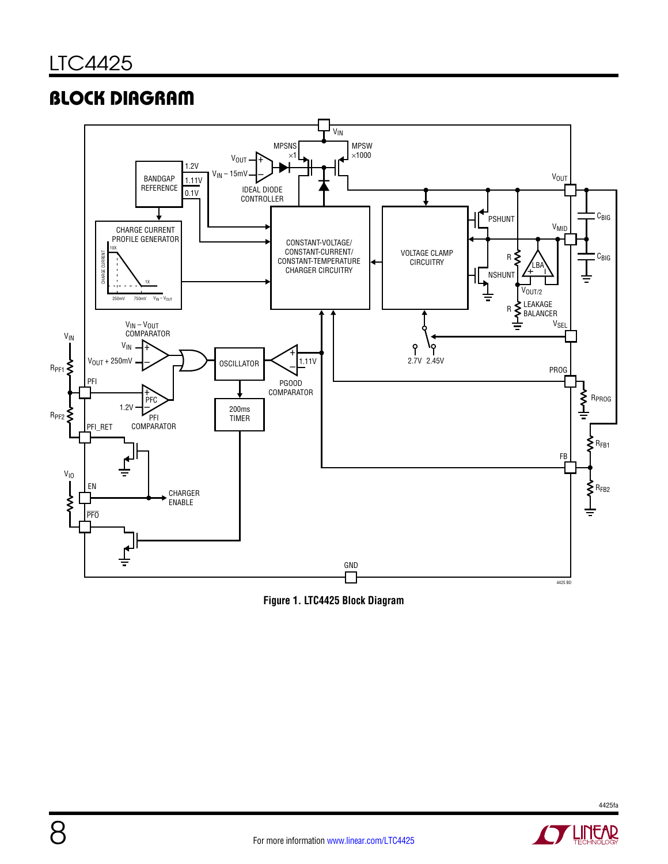# **BLOCK DIAGRAM**



**Figure 1. LTC4425 Block Diagram**

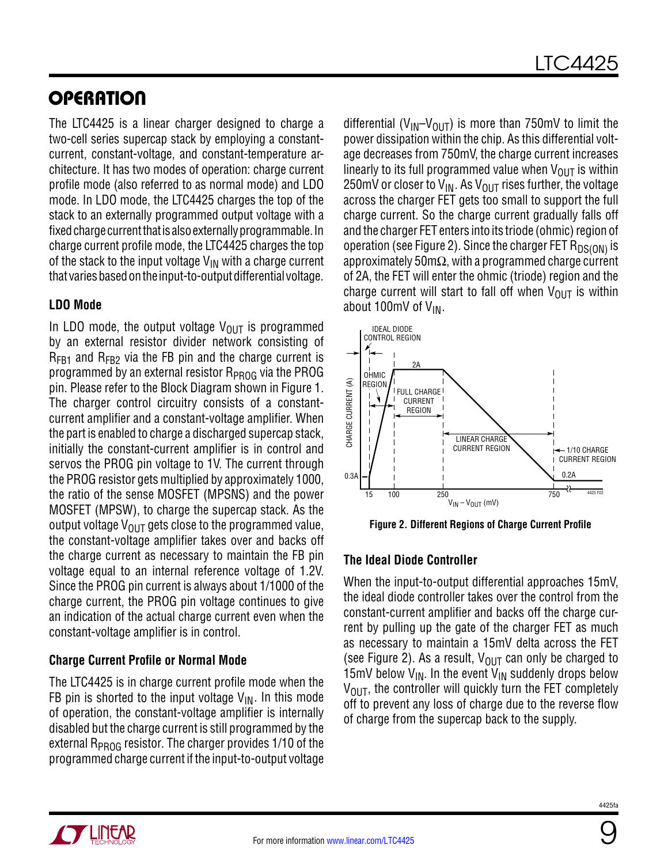# **OPERATION**

The LTC4425 is a linear charger designed to charge a two-cell series supercap stack by employing a constantcurrent, constant-voltage, and constant-temperature architecture. It has two modes of operation: charge current profile mode (also referred to as normal mode) and LDO mode. In LDO mode, the LTC4425 charges the top of the stack to an externally programmed output voltage with a fixed charge current that is also externally programmable. In charge current profile mode, the LTC4425 charges the top of the stack to the input voltage  $V_{IN}$  with a charge current that varies based on the input-to-output differential voltage.

#### **LDO Mode**

In LDO mode, the output voltage  $V_{OUT}$  is programmed by an external resistor divider network consisting of  $R_{FB1}$  and  $R_{FB2}$  via the FB pin and the charge current is programmed by an external resistor  $R_{PROG}$  via the PROG pin. Please refer to the Block Diagram shown in Figure 1. The charger control circuitry consists of a constantcurrent amplifier and a constant-voltage amplifier. When the part is enabled to charge a discharged supercap stack, initially the constant-current amplifier is in control and servos the PROG pin voltage to 1V. The current through the PROG resistor gets multiplied by approximately 1000, the ratio of the sense MOSFET (MPSNS) and the power MOSFET (MPSW), to charge the supercap stack. As the output voltage  $V_{OUT}$  gets close to the programmed value, the constant-voltage amplifier takes over and backs off the charge current as necessary to maintain the FB pin voltage equal to an internal reference voltage of 1.2V. Since the PROG pin current is always about 1/1000 of the charge current, the PROG pin voltage continues to give an indication of the actual charge current even when the constant-voltage amplifier is in control.

### **Charge Current Profile or Normal Mode**

The LTC4425 is in charge current profile mode when the FB pin is shorted to the input voltage  $V_{IN}$ . In this mode of operation, the constant-voltage amplifier is internally disabled but the charge current is still programmed by the external  $R_{PROG}$  resistor. The charger provides 1/10 of the programmed charge current if the input-to-output voltage differential ( $V_{\text{IN}}-V_{\text{OUT}}$ ) is more than 750mV to limit the power dissipation within the chip. As this differential voltage decreases from 750mV, the charge current increases linearly to its full programmed value when  $V_{OUT}$  is within 250mV or closer to  $V_{IN}$ . As  $V_{OUT}$  rises further, the voltage across the charger FET gets too small to support the full charge current. So the charge current gradually falls off and the charger FET enters into its triode (ohmic) region of operation (see Figure 2). Since the charger FET  $R_{DS(ON)}$  is approximately 50m $\Omega$ , with a programmed charge current of 2A, the FET will enter the ohmic (triode) region and the charge current will start to fall off when  $V_{\text{OUT}}$  is within about 100mV of V<sub>IN</sub>.



**Figure 2. Different Regions of Charge Current Profile**

### **The Ideal Diode Controller**

When the input-to-output differential approaches 15mV, the ideal diode controller takes over the control from the constant-current amplifier and backs off the charge current by pulling up the gate of the charger FET as much as necessary to maintain a 15mV delta across the FET (see Figure 2). As a result,  $V_{OIII}$  can only be charged to 15mV below  $V_{IN}$ . In the event  $V_{IN}$  suddenly drops below  $V_{\text{OUT}}$ , the controller will quickly turn the FET completely off to prevent any loss of charge due to the reverse flow of charge from the supercap back to the supply.



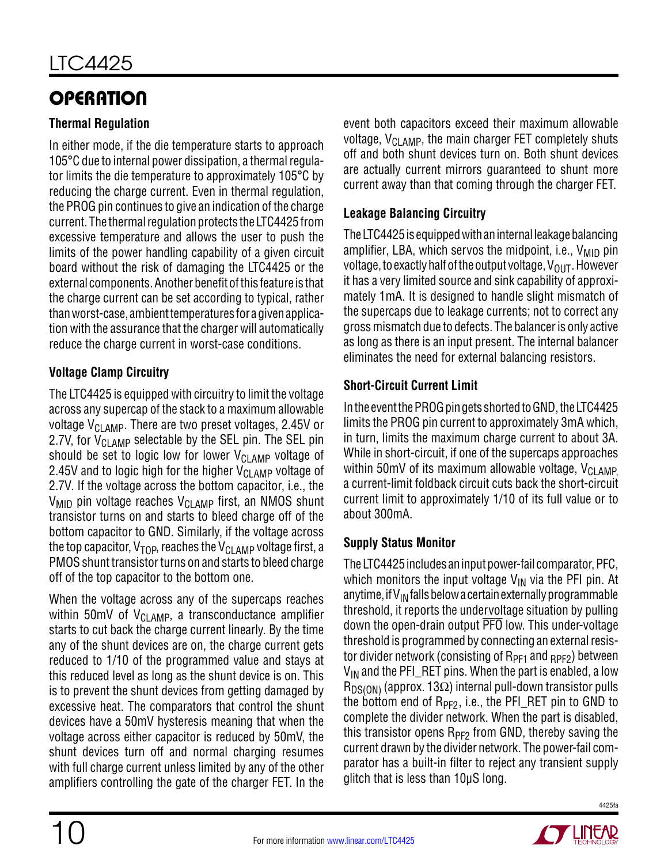# **OPERATION**

### **Thermal Regulation**

In either mode, if the die temperature starts to approach 105°C due to internal power dissipation, a thermal regulator limits the die temperature to approximately 105°C by reducing the charge current. Even in thermal regulation, the PROG pin continues to give an indication of the charge current. The thermal regulation protects the LTC4425 from excessive temperature and allows the user to push the limits of the power handling capability of a given circuit board without the risk of damaging the LTC4425 or the external components. Another benefit of this feature is that the charge current can be set according to typical, rather than worst-case, ambient temperatures for a given application with the assurance that the charger will automatically reduce the charge current in worst-case conditions.

### **Voltage Clamp Circuitry**

The LTC4425 is equipped with circuitry to limit the voltage across any supercap of the stack to a maximum allowable voltage  $V_{\text{Cl AMP}}$ . There are two preset voltages, 2.45V or 2.7V, for V<sub>CLAMP</sub> selectable by the SEL pin. The SEL pin should be set to logic low for lower  $V_{\text{CI AMP}}$  voltage of 2.45V and to logic high for the higher  $V_{\text{CI AMP}}$  voltage of 2.7V. If the voltage across the bottom capacitor, i.e., the  $V_{\text{MID}}$  pin voltage reaches  $V_{\text{CI AMP}}$  first, an NMOS shunt transistor turns on and starts to bleed charge off of the bottom capacitor to GND. Similarly, if the voltage across the top capacitor,  $V_{\text{TOP}}$ , reaches the  $V_{\text{CI AND}}$  voltage first, a PMOS shunt transistor turns on and starts to bleed charge off of the top capacitor to the bottom one.

When the voltage across any of the supercaps reaches within 50mV of  $V_{CI\,AMP}$ , a transconductance amplifier starts to cut back the charge current linearly. By the time any of the shunt devices are on, the charge current gets reduced to 1/10 of the programmed value and stays at this reduced level as long as the shunt device is on. This is to prevent the shunt devices from getting damaged by excessive heat. The comparators that control the shunt devices have a 50mV hysteresis meaning that when the voltage across either capacitor is reduced by 50mV, the shunt devices turn off and normal charging resumes with full charge current unless limited by any of the other amplifiers controlling the gate of the charger FET. In the

event both capacitors exceed their maximum allowable voltage,  $V_{\text{CLAMP}}$ , the main charger FET completely shuts off and both shunt devices turn on. Both shunt devices are actually current mirrors guaranteed to shunt more current away than that coming through the charger FET.

### **Leakage Balancing Circuitry**

The LTC4425 is equipped with an internal leakage balancing amplifier, LBA, which servos the midpoint, i.e.,  $V_{MID}$  pin voltage, to exactly half of the output voltage,  $V_{\text{OUT}}$ . However it has a very limited source and sink capability of approximately 1mA. It is designed to handle slight mismatch of the supercaps due to leakage currents; not to correct any gross mismatch due to defects. The balancer is only active as long as there is an input present. The internal balancer eliminates the need for external balancing resistors.

### **Short-Circuit Current Limit**

In the event the PROG pin gets shorted to GND, the LTC4425 limits the PROG pin current to approximately 3mA which, in turn, limits the maximum charge current to about 3A. While in short-circuit, if one of the supercaps approaches within 50mV of its maximum allowable voltage,  $V_{C1 \text{ AMP}}$ a current-limit foldback circuit cuts back the short-circuit current limit to approximately 1/10 of its full value or to about 300mA.

### **Supply Status Monitor**

The LTC4425 includes an input power-fail comparator, PFC, which monitors the input voltage  $V_{\text{IN}}$  via the PFI pin. At anytime, if  $V_{IN}$  falls below a certain externally programmable threshold, it reports the undervoltage situation by pulling down the open-drain output PFO low. This under-voltage threshold is programmed by connecting an external resistor divider network (consisting of  $R_{PF1}$  and  $_{BPF2}$ ) between  $V_{IN}$  and the PFI\_RET pins. When the part is enabled, a low  $R_{DS(ON)}$  (approx. 13Ω) internal pull-down transistor pulls the bottom end of  $R_{PF2}$ , i.e., the PFI\_RET pin to GND to complete the divider network. When the part is disabled, this transistor opens  $R_{PF2}$  from GND, thereby saving the current drawn by the divider network. The power-fail comparator has a built-in filter to reject any transient supply glitch that is less than 10μS long.

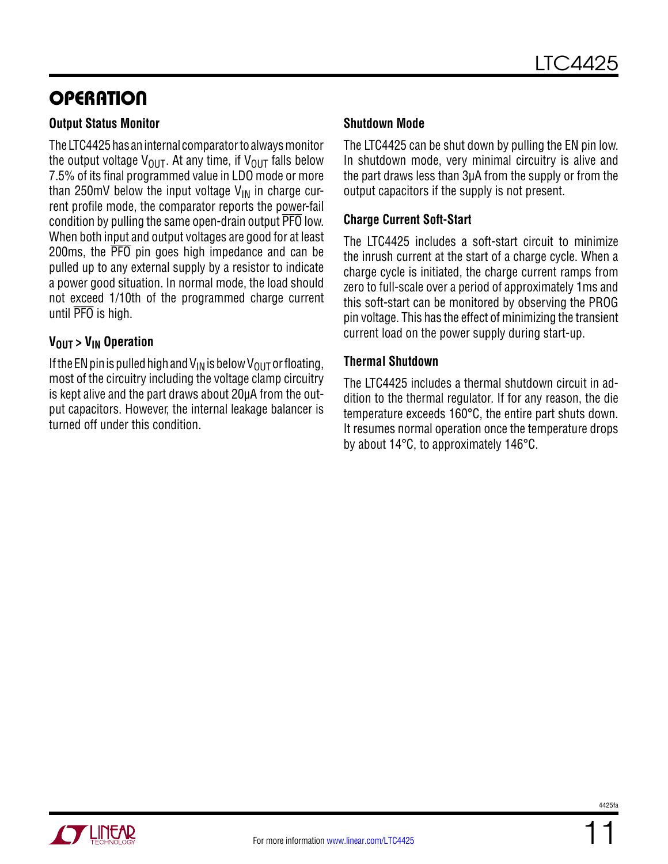# **OPERATION**

#### **Output Status Monitor**

The LTC4425 has an internal comparator to always monitor the output voltage  $V_{OUT}$ . At any time, if  $V_{OUT}$  falls below 7.5% of its final programmed value in LDO mode or more than 250mV below the input voltage  $V_{IN}$  in charge current profile mode, the comparator reports the power-fail condition by pulling the same open-drain output PFO low. When both input and output voltages are good for at least 200ms, the PFO pin goes high impedance and can be pulled up to any external supply by a resistor to indicate a power good situation. In normal mode, the load should not exceed 1/10th of the programmed charge current until PFO is high.

#### **V<sub>OUT</sub>** > V<sub>IN</sub> Operation

If the EN pin is pulled high and  $V_{IN}$  is below  $V_{OUT}$  or floating, most of the circuitry including the voltage clamp circuitry is kept alive and the part draws about 20µA from the output capacitors. However, the internal leakage balancer is turned off under this condition.

#### **Shutdown Mode**

The LTC4425 can be shut down by pulling the EN pin low. In shutdown mode, very minimal circuitry is alive and the part draws less than 3µA from the supply or from the output capacitors if the supply is not present.

#### **Charge Current Soft-Start**

The LTC4425 includes a soft-start circuit to minimize the inrush current at the start of a charge cycle. When a charge cycle is initiated, the charge current ramps from zero to full-scale over a period of approximately 1ms and this soft-start can be monitored by observing the PROG pin voltage. This has the effect of minimizing the transient current load on the power supply during start-up.

#### **Thermal Shutdown**

The LTC4425 includes a thermal shutdown circuit in addition to the thermal regulator. If for any reason, the die temperature exceeds 160°C, the entire part shuts down. It resumes normal operation once the temperature drops by about 14°C, to approximately 146°C.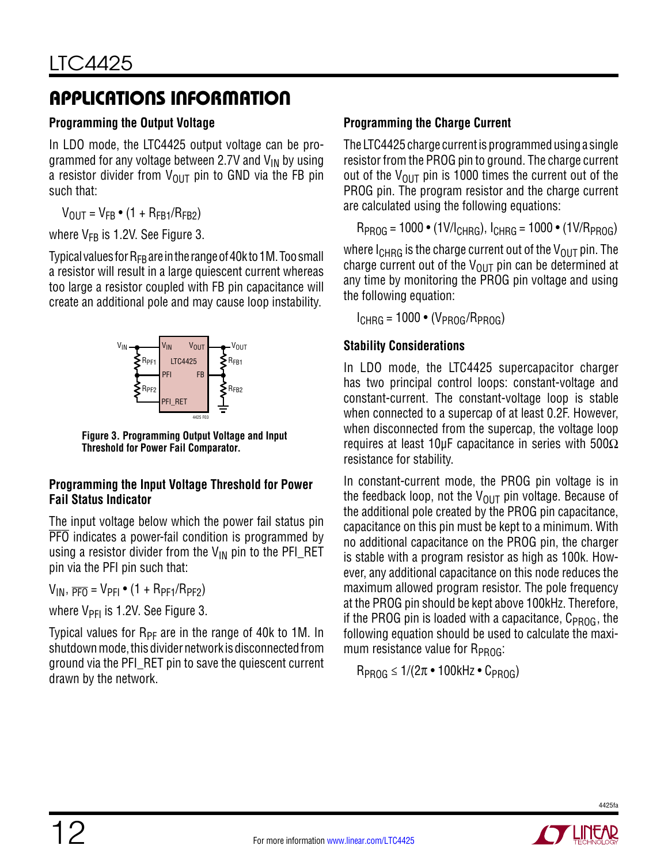# Applications Information

#### **Programming the Output Voltage**

In LDO mode, the LTC4425 output voltage can be programmed for any voltage between 2.7V and  $V_{\text{IN}}$  by using a resistor divider from  $V_{\text{OUT}}$  pin to GND via the FB pin such that:

 $V_{\text{OIII}} = V_{\text{FR}} \cdot (1 + R_{\text{FR1}}/R_{\text{FR2}})$ 

where  $V_{FR}$  is 1.2V. See Figure 3.

Typical values for  $R_{FB}$  are in the range of 40k to 1M. Too small a resistor will result in a large quiescent current whereas too large a resistor coupled with FB pin capacitance will create an additional pole and may cause loop instability.



**Figure 3. Programming Output Voltage and Input Threshold for Power Fail Comparator.**

#### **Programming the Input Voltage Threshold for Power Fail Status Indicator**

The input voltage below which the power fail status pin PFO indicates a power-fail condition is programmed by using a resistor divider from the  $V_{\text{IN}}$  pin to the PFI\_RET pin via the PFI pin such that:

 $V_{IN}$ ,  $\overline{PF_0} = V_{PFI} \cdot (1 + R_{PF1}/R_{PF2})$ 

where  $V_{\text{PFI}}$  is 1.2V. See Figure 3.

Typical values for  $R_{PF}$  are in the range of 40k to 1M. In shutdown mode, this divider network is disconnected from ground via the PFI\_RET pin to save the quiescent current drawn by the network.

#### **Programming the Charge Current**

The LTC4425 charge current is programmed using a single resistor from the PROG pin to ground. The charge current out of the  $V_{\text{OUT}}$  pin is 1000 times the current out of the PROG pin. The program resistor and the charge current are calculated using the following equations:

 $R_{PROG} = 1000 \cdot (1 \text{V/l}_{CHRG})$ ,  $R_{PROG} = 1000 \cdot (1 \text{V/R}_{PROG})$ 

where  $I_{CHRG}$  is the charge current out of the  $V_{OUT}$  pin. The charge current out of the  $V_{OUT}$  pin can be determined at any time by monitoring the PROG pin voltage and using the following equation:

 $I_{CHRG} = 1000 \cdot (V_{PROG}/R_{PROG})$ 

### **Stability Considerations**

In LDO mode, the LTC4425 supercapacitor charger has two principal control loops: constant-voltage and constant-current. The constant-voltage loop is stable when connected to a supercap of at least 0.2F. However, when disconnected from the supercap, the voltage loop requires at least 10µF capacitance in series with 500Ω resistance for stability.

In constant-current mode, the PROG pin voltage is in the feedback loop, not the  $V_{OUT}$  pin voltage. Because of the additional pole created by the PROG pin capacitance, capacitance on this pin must be kept to a minimum. With no additional capacitance on the PROG pin, the charger is stable with a program resistor as high as 100k. However, any additional capacitance on this node reduces the maximum allowed program resistor. The pole frequency at the PROG pin should be kept above 100kHz. Therefore, if the PROG pin is loaded with a capacitance,  $C_{PROG}$ , the following equation should be used to calculate the maximum resistance value for  $R_{PROG}$ :

 $R_{PROG} \leq 1/(2\pi \cdot 100$ kHz •  $C_{PROG}$ 

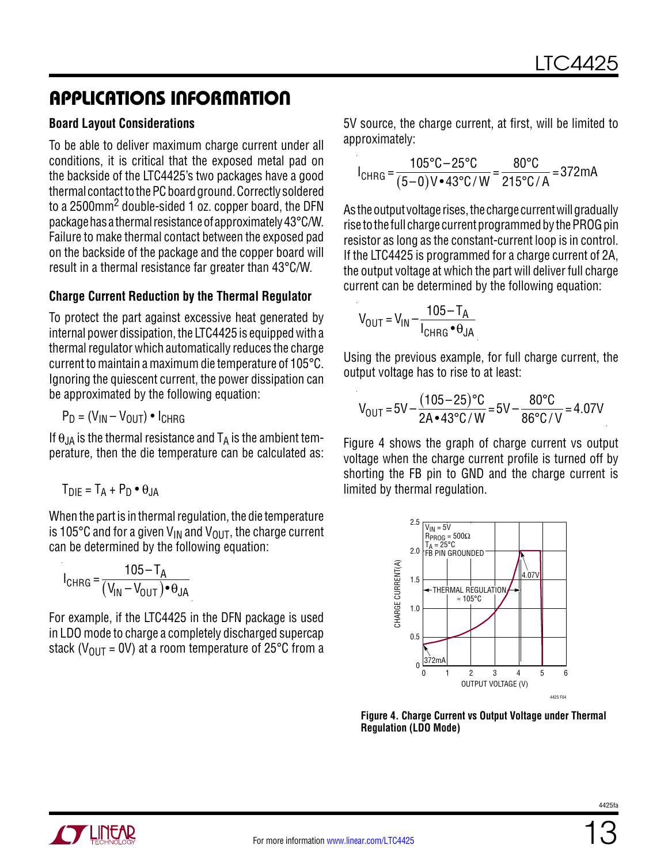### Applications Information

#### **Board Layout Considerations**

To be able to deliver maximum charge current under all conditions, it is critical that the exposed metal pad on the backside of the LTC4425's two packages have a good thermal contact to the PC board ground. Correctly soldered to a 2500mm2 double-sided 1 oz. copper board, the DFN package has a thermal resistance of approximately 43°C/W. Failure to make thermal contact between the exposed pad on the backside of the package and the copper board will result in a thermal resistance far greater than 43°C/W.

#### **Charge Current Reduction by the Thermal Regulator**

To protect the part against excessive heat generated by internal power dissipation, the LTC4425 is equipped with a thermal regulator which automatically reduces the charge current to maintain a maximum die temperature of 105°C. Ignoring the quiescent current, the power dissipation can be approximated by the following equation:

$$
P_D = (V_{IN} - V_{OUT}) \cdot I_{CHRG}
$$

If  $\theta_{JA}$  is the thermal resistance and  $T_A$  is the ambient temperature, then the die temperature can be calculated as:

$$
T_{DIE} = T_A + P_D \bullet \theta_{JA}
$$

When the part is in thermal regulation, the die temperature is 105 $^{\circ}$ C and for a given V<sub>IN</sub> and V<sub>OUT</sub>, the charge current can be determined by the following equation:

$$
I_{CHRG} = \frac{105 - T_A}{(V_{IN} - V_{OUT}) \cdot \theta_{JA}}
$$

For example, if the LTC4425 in the DFN package is used in LDO mode to charge a completely discharged supercap stack ( $V_{OIII}$  = 0V) at a room temperature of 25°C from a 5V source, the charge current, at first, will be limited to approximately:

$$
I_{\text{CHRG}} = \frac{105^{\circ}\text{C} - 25^{\circ}\text{C}}{(5-0)\text{V} \cdot 43^{\circ}\text{C}/\text{W}} = \frac{80^{\circ}\text{C}}{215^{\circ}\text{C}/\text{A}} = 372 \text{mA}
$$

As the output voltage rises, the charge current will gradually rise to the full charge current programmed by the PROG pin resistor as long as the constant-current loop is in control. If the LTC4425 is programmed for a charge current of 2A, the output voltage at which the part will deliver full charge current can be determined by the following equation:

$$
V_{\text{OUT}} = V_{\text{IN}} - \frac{105 - T_{\text{A}}}{I_{\text{CHRG}} \cdot \theta_{\text{JA}}}
$$

Using the previous example, for full charge current, the output voltage has to rise to at least:

$$
V_{\text{OUT}} = 5V - \frac{(105 - 25) \text{°C}}{2A \cdot 43 \text{°C} / W} = 5V - \frac{80 \text{°C}}{86 \text{°C} / V} = 4.07V
$$

Figure 4 shows the graph of charge current vs output voltage when the charge current profile is turned off by shorting the FB pin to GND and the charge current is limited by thermal regulation.



**Figure 4. Charge Current vs Output Voltage under Thermal Regulation (LDO Mode)**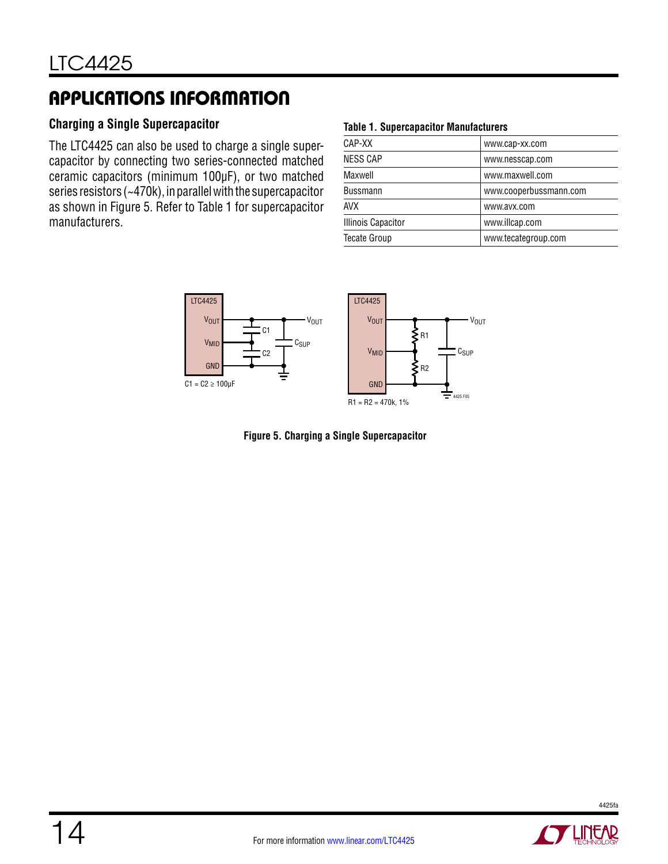# Applications Information

#### **Charging a Single Supercapacitor**

The LTC4425 can also be used to charge a single supercapacitor by connecting two series-connected matched ceramic capacitors (minimum 100µF), or two matched series resistors (~470k), in parallel with the supercapacitor as shown in Figure 5. Refer to Table 1 for supercapacitor manufacturers.

#### **Table 1. Supercapacitor Manufacturers**

| CAP-XX                    | www.cap-xx.com         |
|---------------------------|------------------------|
| <b>NESS CAP</b>           | www.nesscap.com        |
| Maxwell                   | www.maxwell.com        |
| <b>Bussmann</b>           | www.cooperbussmann.com |
| <b>AVX</b>                | www.avx.com            |
| <b>Illinois Capacitor</b> | www.illcap.com         |
| <b>Tecate Group</b>       | www.tecategroup.com    |
|                           |                        |



**Figure 5. Charging a Single Supercapacitor**

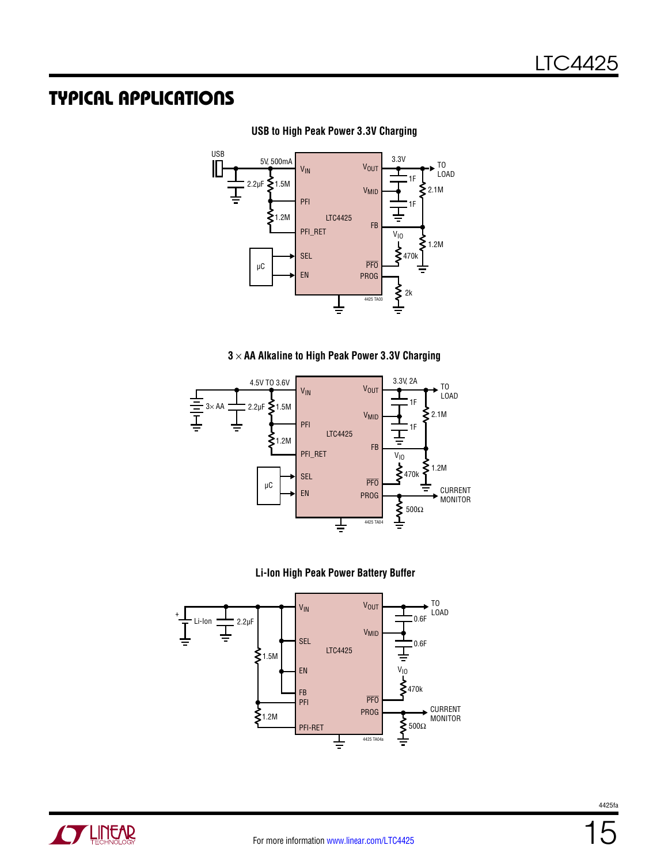

**USB to High Peak Power 3.3V Charging**

#### **3** × **AA Alkaline to High Peak Power 3.3V Charging**







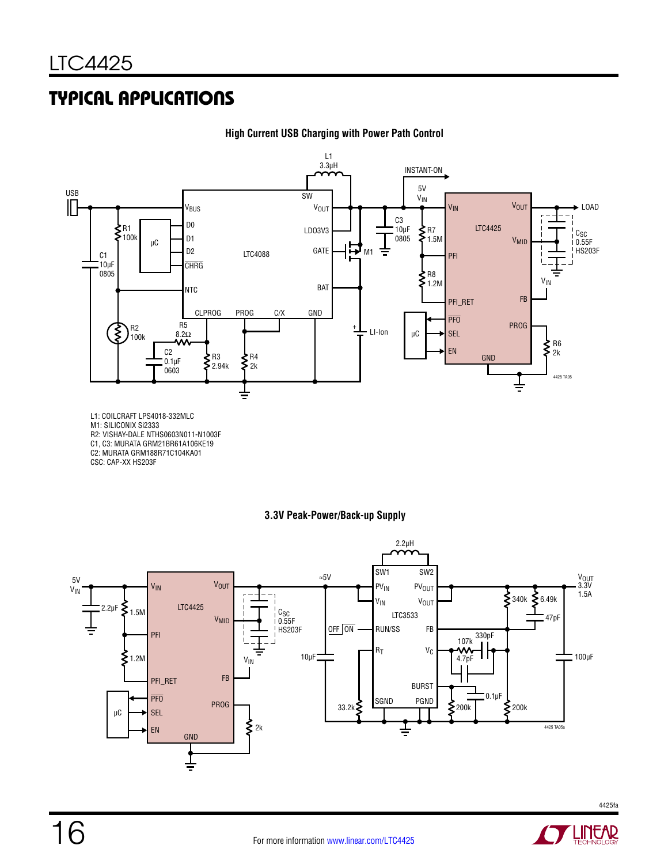

#### **High Current USB Charging with Power Path Control**

M1: SILICONIX Si2333

R2: VISHAY-DALE NTHS0603N011-N1003F

C1, C3: MURATA GRM21BR61A106KE19

C2: MURATA GRM188R71C104KA01

CSC: CAP-XX HS203F

#### **3.3V Peak-Power/Back-up Supply**



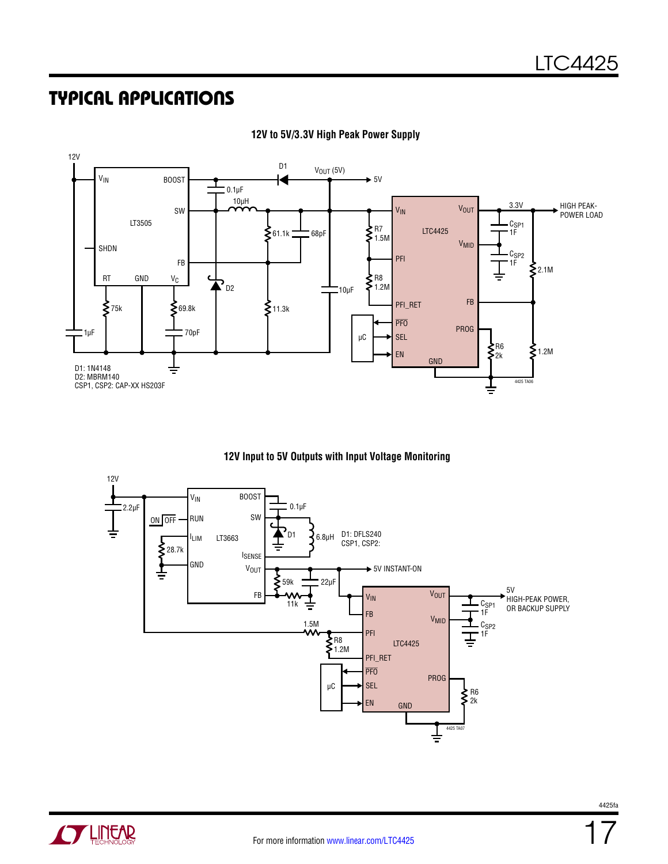

#### **12V to 5V/3.3V High Peak Power Supply**





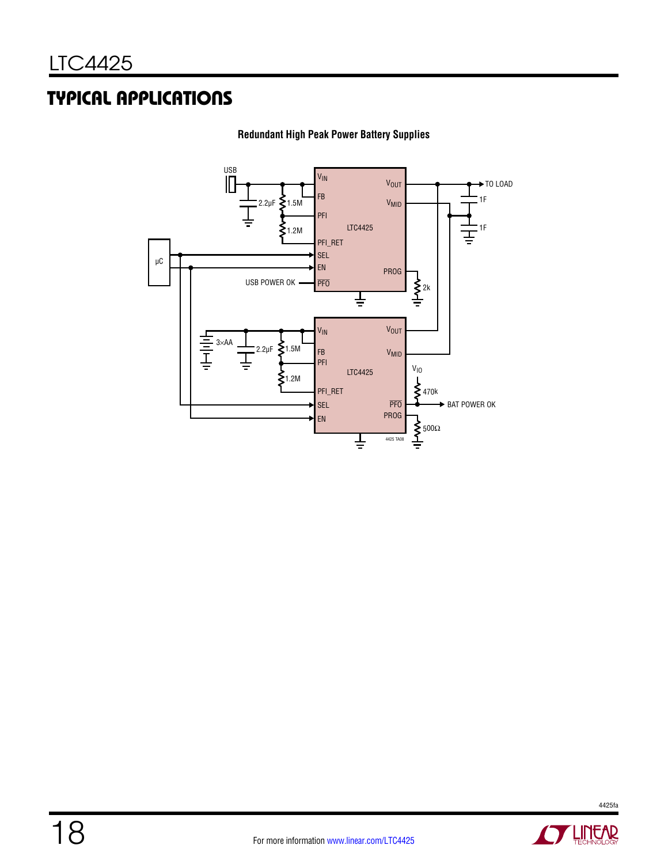

**Redundant High Peak Power Battery Supplies**

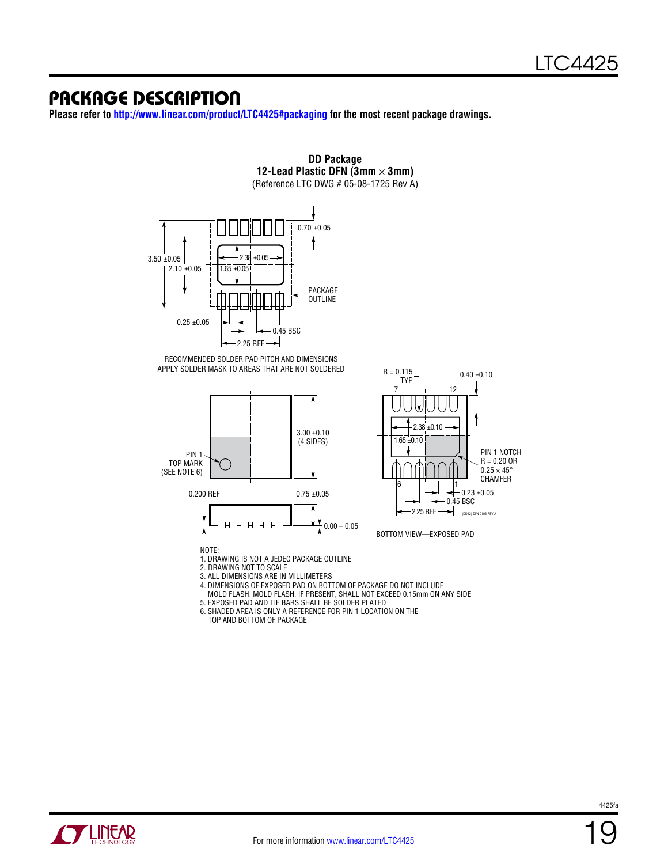### Package Description

**Please refer to<http://www.linear.com/product/LTC4425#packaging> for the most recent package drawings.**





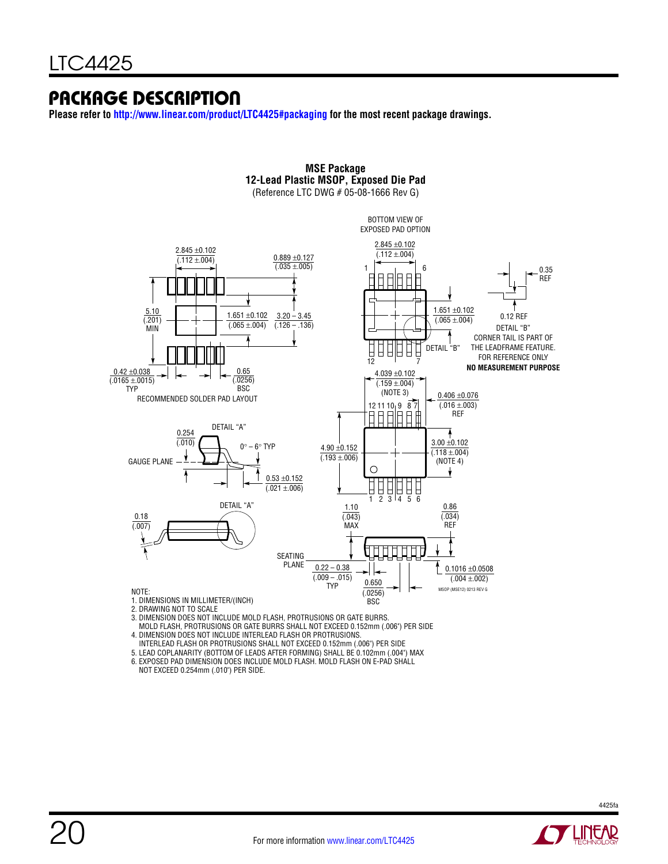### Package Description

**Please refer to<http://www.linear.com/product/LTC4425#packaging> for the most recent package drawings.**



**MSE Package**

 MOLD FLASH, PROTRUSIONS OR GATE BURRS SHALL NOT EXCEED 0.152mm (.006") PER SIDE 4. DIMENSION DOES NOT INCLUDE INTERLEAD FLASH OR PROTRUSIONS.

INTERLEAD FLASH OR PROTRUSIONS SHALL NOT EXCEED 0.152mm (.006") PER SIDE

5. LEAD COPLANARITY (BOTTOM OF LEADS AFTER FORMING) SHALL BE 0.102mm (.004") MAX

6. EXPOSED PAD DIMENSION DOES INCLUDE MOLD FLASH. MOLD FLASH ON E-PAD SHALL

NOT EXCEED 0.254mm (.010") PER SIDE.

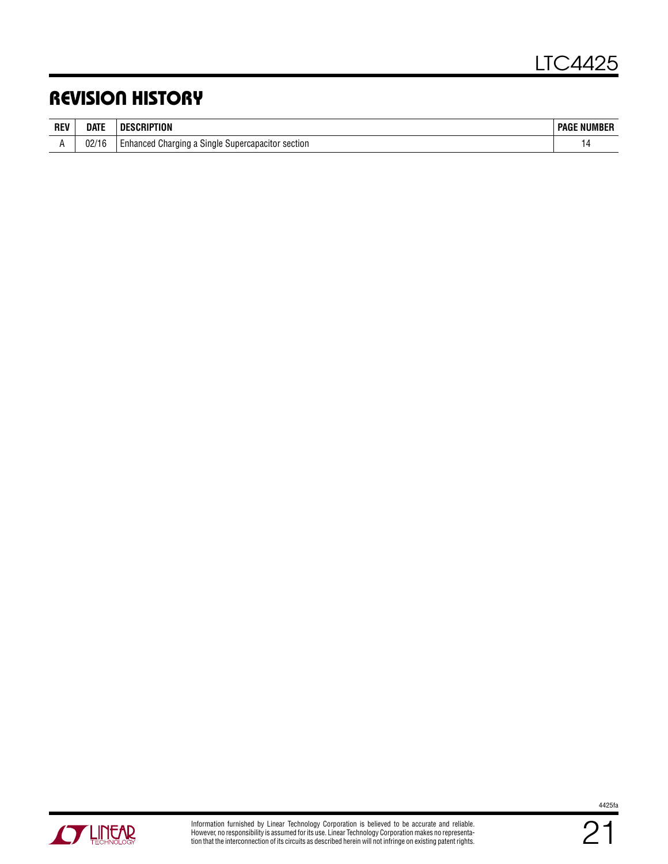### Revision History

| <b>REV</b> | DATE              | ПF<br>TIUN                                                   | : NUMBER<br><b>PAGF</b> |
|------------|-------------------|--------------------------------------------------------------|-------------------------|
|            | 00/1<br>10<br>UZ) | section<br>l Charqing a Single<br>Supercapacitor<br>Enhanced |                         |